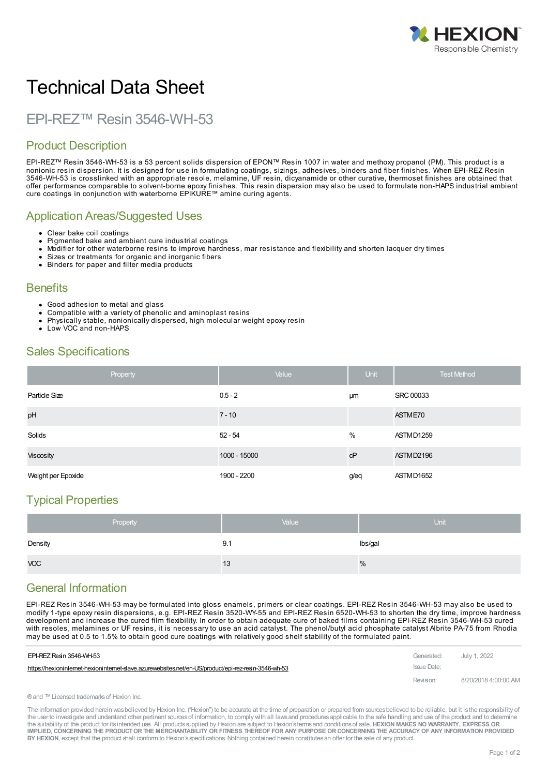

# Technical Data Sheet

## EPI-REZ™ Resin 3546-WH-53

## Product Description

EPI-REZ™ Resin 3546-WH-53 is a 53 percent solids dispersion of EPON™ Resin 1007 in water and methoxy propanol (PM). This product is a nonionic resin dispersion. It is designed for use in formulating coatings, sizings, adhesives, binders and fiber finishes. When EPI-REZ Resin 3546-WH-53 is crosslinked with an appropriate resole, melamine, UF resin, dicyanamide or other curative, thermoset finishes are obtained that offer performance comparable to solvent-borne epoxy finishes. This resin dispersion may also be used to formulate non-HAPS industrial ambient cure coatings in conjunction with waterborne EPIKURE™ amine curing agents.

#### Application Areas/Suggested Uses

- Clear bake coil coatings  $\bullet$
- Pigmented bake and ambient cure industrial coatings
- Modifier for other waterborne resins to improve hardness, mar resistance and flexibility and shorten lacquer dry times
- Sizes or treatments for organic and inorganic fibers
- Binders for paper and filter media products  $\bullet$

#### **Benefits**

- Good adhesion to metal and glass
- Compatible with a variety of phenolic and aminoplast resins
- Physically stable, nonionically dispersed, high molecular weight epoxy resin
- Low VOC and non-HAPS

#### Sales Specifications

| Property           | Value        | Unit | <b>Test Method</b> |
|--------------------|--------------|------|--------------------|
| Particle Size      | $0.5 - 2$    | μm   | <b>SRC 00033</b>   |
| pH                 | $7 - 10$     |      | ASTME70            |
| Solids             | $52 - 54$    | %    | ASTMD1259          |
| <b>Viscosity</b>   | 1000 - 15000 | cP   | ASTMD2196          |
| Weight per Epoxide | 1900 - 2200  | g/eq | ASTMD1652          |

## Typical Properties

|            | Property | Value | Unit    |
|------------|----------|-------|---------|
| Density    |          | 9.1   | lbs/gal |
| <b>VOC</b> |          | 13    | %       |

## General Information

EPI-REZ Resin 3546-WH-53 may be formulated into gloss enamels, primers or clear coatings. EPI-REZ Resin 3546-WH-53 may also be used to modify 1-type epoxy resin dispersions, e.g. EPI-REZ Resin 3520-WY-55 and EPI-REZ Resin 6520-WH-53 to shorten the dry time, improve hardness development and increase the cured film flexibility. In order to obtain adequate cure of baked films containing EPI-REZ Resin 3546-WH-53 cured with resoles, melamines or UF resins, it is necessary to use an acid catalyst. The phenol/butyl acid phosphate catalyst Albrite PA-75 from Rhodia may be used at 0.5 to 1.5% to obtain good cure coatings with [relatively](https://hexioninternet-hexioninternet-slave.azurewebsites.net/en-US/product/epi-rez-resin-3546-wh-53) good shelf stability of the formulated paint.

| EPI-REZ Resin 3546-WH-53                                                                             | Generated:  | July 1. 2022         |
|------------------------------------------------------------------------------------------------------|-------------|----------------------|
| https://hexioninternet-hexioninternet-slave.azurewebsites.net/en-US/product/epi-rez-resin-3546-wh-53 | Issue Date: |                      |
|                                                                                                      | Revision:   | 8/20/2018 4:00:00 AM |

®and ™Licensed trademarksof Hexion Inc.

The information provided herein was believed by Hexion Inc. ("Hexion") to be accurate at the time of preparation or prepared from sources believed to be reliable, but it is the responsibility of the user to investigate and understand other pertinent sources of information, to comply with all laws and procedures applicable to the safe handling and use of the product and to determine the suitability of the product for itsintended use. All productssupplied by Hexion are subject to Hexion'stermsand conditionsof sale. **HEXION MAKES NO WARRANTY, EXPRESS OR** IMPLIED, CONCERNING THE PRODUCT OR THE MERCHANTABILITY OR FITNESS THEREOF FOR ANY PURPOSE OR CONCERNING THE ACCURACY OF ANY INFORMATION PROVIDED **BY HEXION**, except that the product shall conform to Hexion'sspecifications. Nothing contained herein constitutesan offer for the sale of any product.